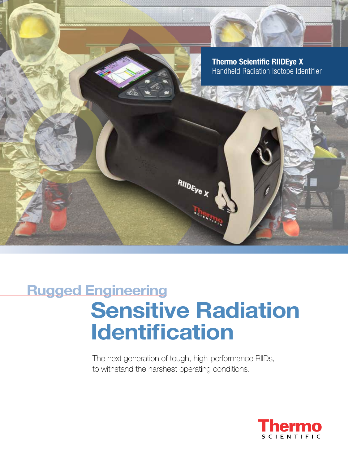

# Sensitive Radiation Identification Rugged Engineering

The next generation of tough, high-performance RIIDs, to withstand the harshest operating conditions.

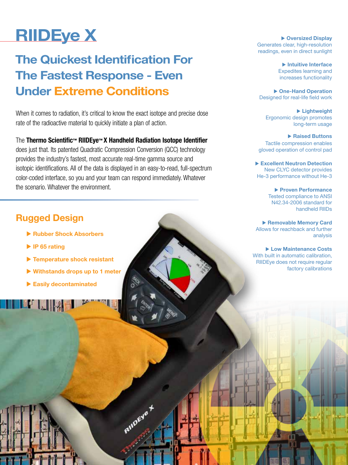# RIIDEye X

## The Quickest Identification For The Fastest Response - Even Under Extreme Conditions

When it comes to radiation, it's critical to know the exact isotope and precise dose rate of the radioactive material to quickly initiate a plan of action.

#### The Thermo Scientific™ RIIDEye™ X Handheld Radiation Isotope Identifier

does just that. Its patented Quadratic Compression Conversion (QCC) technology provides the industry's fastest, most accurate real-time gamma source and isotopic identifications. All of the data is displayed in an easy-to-read, full-spectrum color-coded interface, so you and your team can respond immediately. Whatever the scenario. Whatever the environment.

**ALLIDEV** 

## Rugged Design

- **Example Rubber Shock Absorbers**
- $\blacktriangleright$  IP 65 rating
- $\blacktriangleright$  Temperature shock resistant
- $\triangleright$  Withstands drops up to 1 meter
- $\blacktriangleright$  Easily decontaminated

 $\triangleright$  Oversized Display Generates clear, high-resolution readings, even in direct sunlight

> $\blacktriangleright$  Intuitive Interface Expedites learning and increases functionality

▶ One-Hand Operation Designed for real-life field work

 $\blacktriangleright$  Lightweight Ergonomic design promotes long-term usage

 $\blacktriangleright$  Raised Buttons Tactile compression enables gloved operation of control pad

Excellent Neutron Detection New CLYC detector provides He-3 performance without He-3

> $\blacktriangleright$  Proven Performance Tested compliance to ANSI N42.34-2006 standard for handheld RIIDs

▶ Removable Memory Card Allows for reachback and further analysis

▶ Low Maintenance Costs With built in automatic calibration, RIIDEye does not require regular factory calibrations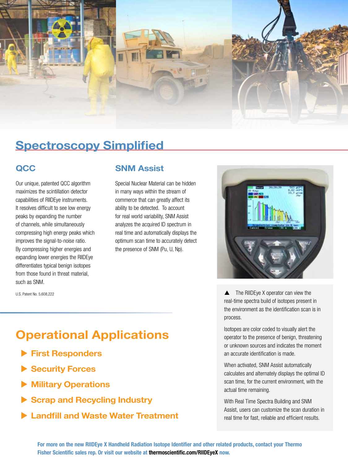

## Spectroscopy Simplified

### **QCC**

Our unique, patented QCC algorithm maximizes the scintillation detector capabilities of RIIDEye instruments. It resolves difficult to see low energy peaks by expanding the number of channels, while simultaneously compressing high energy peaks which improves the signal-to-noise ratio. By compressing higher energies and expanding lower energies the RIIDEye differentiates typical benign isotopes from those found in threat material, such as SNM.

U.S. Patent No. 5,608,222

SNM Assist

Special Nuclear Material can be hidden in many ways within the stream of commerce that can greatly affect its ability to be detected. To account for real world variability, SNM Assist analyzes the acquired ID spectrum in real time and automatically displays the optimum scan time to accurately detect the presence of SNM (Pu, U, Np).



**▲** The RIIDEye X operator can view the real-time spectra build of isotopes present in the environment as the identification scan is in process.

Isotopes are color coded to visually alert the operator to the presence of benign, threatening or unknown sources and indicates the moment an accurate identification is made.

When activated, SNM Assist automatically calculates and alternately displays the optimal ID scan time, for the current environment, with the actual time remaining.

With Real Time Spectra Building and SNM Assist, users can customize the scan duration in real time for fast, reliable and efficient results.

## Operational Applications

- $\blacktriangleright$  First Responders
- Security Forces
- **Military Operations**
- $\triangleright$  Scrap and Recycling Industry
- **Example 1 Landfill and Waste Water Treatment**

For more on the new RIIDEye X Handheld Radiation Isotope Identifier and other related products, contact your Thermo Fisher Scientific sales rep. Or visit our website at thermoscientific.com/RIIDEyeX now.